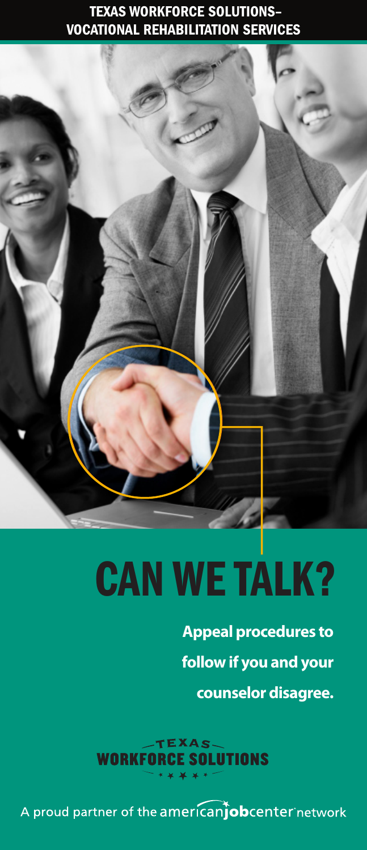## TEXAS WORKFORCE SOLUTIONS– VOCATIONAL REHABILITATION SERVICES

# CAN WE TALK?

**Appeal procedures to follow if you and your counselor disagree.**

 $E<sub>KS</sub>$ CE SOLUTIONS **WORKFO** 

A proud partner of the americanjobcenter network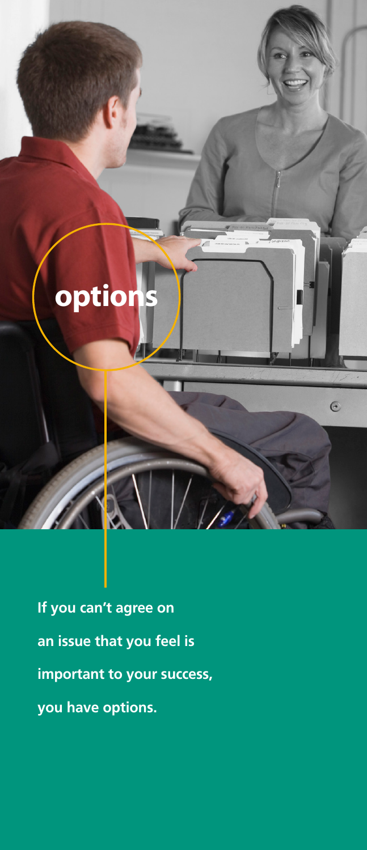# **option**

 $\odot$ 

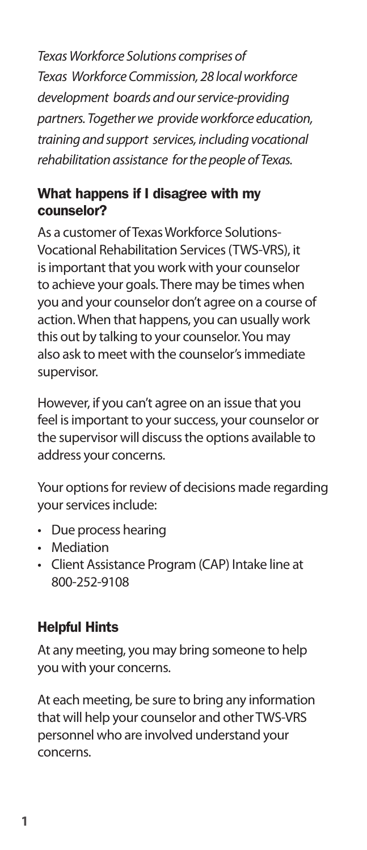*Texas Workforce Solutions comprises of Texas Workforce Commission, 28 local workforce development boards and our service-providing partners. Together we provide workforce education, training and support services, including vocational rehabilitation assistance for the people of Texas.*

## What happens if I disagree with my counselor?

As a customer of Texas Workforce Solutions-Vocational Rehabilitation Services (TWS-VRS), it is important that you work with your counselor to achieve your goals. There may be times when you and your counselor don't agree on a course of action. When that happens, you can usually work this out by talking to your counselor. You may also ask to meet with the counselor's immediate supervisor.

However, if you can't agree on an issue that you feel is important to your success, your counselor or the supervisor will discuss the options available to address your concerns.

Your options for review of decisions made regarding your services include:

- Due process hearing
- Mediation
- Client Assistance Program (CAP) Intake line at 800-252-9108

# Helpful Hints

At any meeting, you may bring someone to help you with your concerns.

At each meeting, be sure to bring any information that will help your counselor and other TWS-VRS personnel who are involved understand your concerns.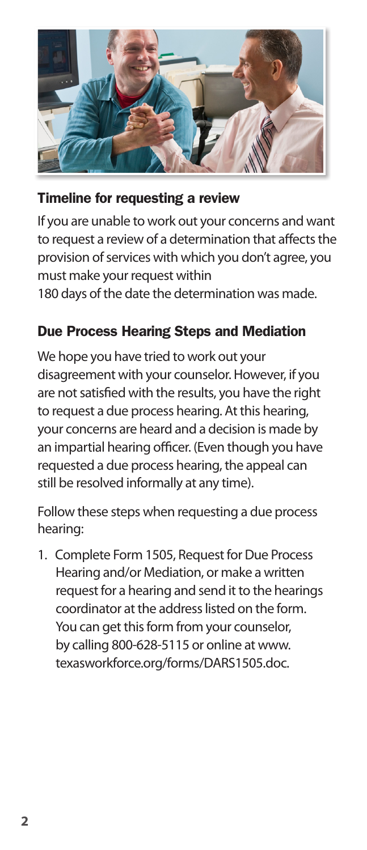

# Timeline for requesting a review

If you are unable to work out your concerns and want to request a review of a determination that affects the provision of services with which you don't agree, you must make your request within

180 days of the date the determination was made.

# Due Process Hearing Steps and Mediation

We hope you have tried to work out your disagreement with your counselor. However, if you are not satisfied with the results, you have the right to request a due process hearing. At this hearing, your concerns are heard and a decision is made by an impartial hearing officer. (Even though you have requested a due process hearing, the appeal can still be resolved informally at any time).

Follow these steps when requesting a due process hearing:

1. Complete Form 1505, Request for Due Process Hearing and/or Mediation, or make a written request for a hearing and send it to the hearings coordinator at the address listed on the form. You can get this form from your counselor, by calling 800-628-5115 or online at www. [texasworkforce.org/forms/DARS1505.doc.](http://www.texasworkforce.org/forms/DARS1505.doc)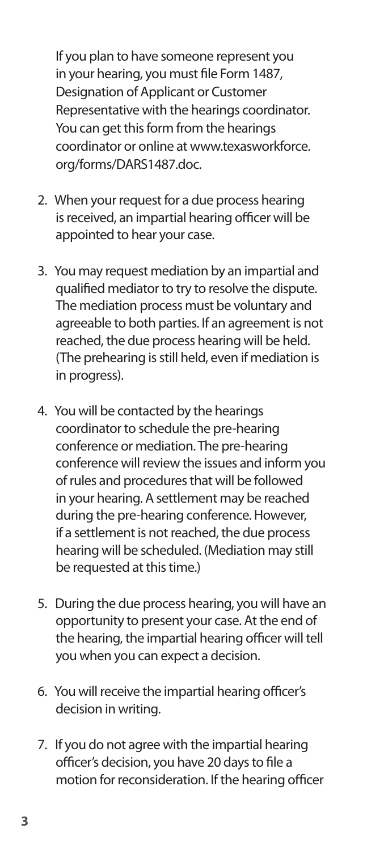If you plan to have someone represent you in your hearing, you must file Form 1487, Designation of Applicant or Customer Representative with the hearings coordinator. You can get this form from the hearings [coordinator or online at www.texasworkforce.](http://www.texasworkforce.org/forms/DARS1487.doc) org/forms/DARS1487.doc.

- 2. When your request for a due process hearing is received, an impartial hearing officer will be appointed to hear your case.
- 3. You may request mediation by an impartial and qualified mediator to try to resolve the dispute. The mediation process must be voluntary and agreeable to both parties. If an agreement is not reached, the due process hearing will be held. (The prehearing is still held, even if mediation is in progress).
- 4. You will be contacted by the hearings coordinator to schedule the pre-hearing conference or mediation. The pre-hearing conference will review the issues and inform you of rules and procedures that will be followed in your hearing. A settlement may be reached during the pre-hearing conference. However, if a settlement is not reached, the due process hearing will be scheduled. (Mediation may still be requested at this time.)
- 5. During the due process hearing, you will have an opportunity to present your case. At the end of the hearing, the impartial hearing officer will tell you when you can expect a decision.
- 6. You will receive the impartial hearing officer's decision in writing.
- 7. If you do not agree with the impartial hearing officer's decision, you have 20 days to file a motion for reconsideration. If the hearing officer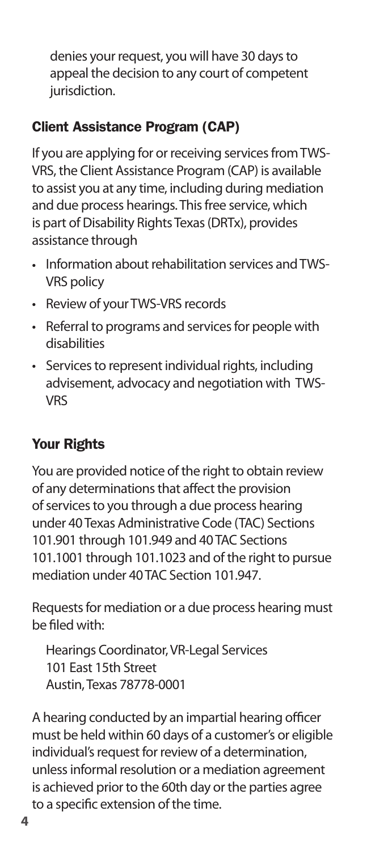denies your request, you will have 30 days to appeal the decision to any court of competent jurisdiction.

# Client Assistance Program (CAP)

If you are applying for or receiving services from TWS-VRS, the Client Assistance Program (CAP) is available to assist you at any time, including during mediation and due process hearings. This free service, which is part of Disability Rights Texas (DRTx), provides assistance through

- Information about rehabilitation services and TWS-VRS policy
- Review of your TWS-VRS records
- Referral to programs and services for people with disabilities
- Services to represent individual rights, including advisement, advocacy and negotiation with TWS-VRS

# Your Rights

You are provided notice of the right to obtain review of any determinations that affect the provision of services to you through a due process hearing under 40 Texas Administrative Code (TAC) Sections 101.901 through 101.949 and 40 TAC Sections 101.1001 through 101.1023 and of the right to pursue mediation under 40 TAC Section 101.947.

Requests for mediation or a due process hearing must be filed with:

Hearings Coordinator, VR-Legal Services 101 East 15th Street Austin, Texas 78778-0001

A hearing conducted by an impartial hearing officer must be held within 60 days of a customer's or eligible individual's request for review of a determination, unless informal resolution or a mediation agreement is achieved prior to the 60th day or the parties agree to a specific extension of the time.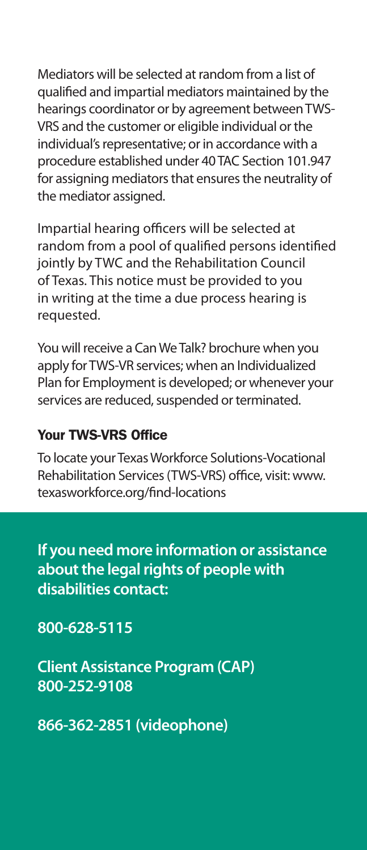Mediators will be selected at random from a list of qualified and impartial mediators maintained by the hearings coordinator or by agreement between TWS-VRS and the customer or eligible individual or the individual's representative; or in accordance with a procedure established under 40 TAC Section 101.947 for assigning mediators that ensures the neutrality of the mediator assigned.

Impartial hearing officers will be selected at random from a pool of qualified persons identified jointly by TWC and the Rehabilitation Council of Texas. This notice must be provided to you in writing at the time a due process hearing is requested.

You will receive a Can We Talk? brochure when you apply for TWS-VR services; when an Individualized Plan for Employment is developed; or whenever your services are reduced, suspended or terminated.

#### Your TWS-VRS Office

To locate your Texas Workforce Solutions-Vocational [Rehabilitation Services \(TWS-VRS\) office, visit: www.](http://www.texasworkforce.org/find-locations) texasworkforce.org/find-locations

**If you need more information or assistance about the legal rights of people with disabilities contact:**

**800-628-5115**

**Client Assistance Program (CAP) 800-252-9108** 

**866-362-2851 (videophone)**